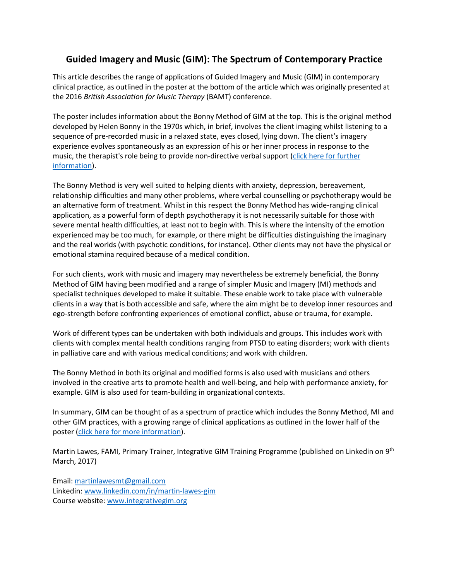## **Guided Imagery and Music (GIM): The Spectrum of Contemporary Practice**

This article describes the range of applications of Guided Imagery and Music (GIM) in contemporary clinical practice, as outlined in the poster at the bottom of the article which was originally presented at the 2016 *British Association for Music Therapy* (BAMT) conference.

The poster includes information about the Bonny Method of GIM at the top. This is the original method developed by Helen Bonny in the 1970s which, in brief, involves the client imaging whilst listening to a sequence of pre-recorded music in a relaxed state, eyes closed, lying down. The client's imagery experience evolves spontaneously as an expression of his or her inner process in response to the music, the therapist's role being to provide non-directive verbal support [\(click here for further](http://www.integrativegim.org/about-gim)  [information\)](http://www.integrativegim.org/about-gim).

The Bonny Method is very well suited to helping clients with anxiety, depression, bereavement, relationship difficulties and many other problems, where verbal counselling or psychotherapy would be an alternative form of treatment. Whilst in this respect the Bonny Method has wide-ranging clinical application, as a powerful form of depth psychotherapy it is not necessarily suitable for those with severe mental health difficulties, at least not to begin with. This is where the intensity of the emotion experienced may be too much, for example, or there might be difficulties distinguishing the imaginary and the real worlds (with psychotic conditions, for instance). Other clients may not have the physical or emotional stamina required because of a medical condition.

For such clients, work with music and imagery may nevertheless be extremely beneficial, the Bonny Method of GIM having been modified and a range of simpler Music and Imagery (MI) methods and specialist techniques developed to make it suitable. These enable work to take place with vulnerable clients in a way that is both accessible and safe, where the aim might be to develop inner resources and ego-strength before confronting experiences of emotional conflict, abuse or trauma, for example.

Work of different types can be undertaken with both individuals and groups. This includes work with clients with complex mental health conditions ranging from PTSD to eating disorders; work with clients in palliative care and with various medical conditions; and work with children.

The Bonny Method in both its original and modified forms is also used with musicians and others involved in the creative arts to promote health and well-being, and help with performance anxiety, for example. GIM is also used for team-building in organizational contexts.

In summary, GIM can be thought of as a spectrum of practice which includes the Bonny Method, MI and other GIM practices, with a growing range of clinical applications as outlined in the lower half of the poster [\(click here for more information\)](http://www.integrativegim.org/the-contemporary-spectrum-of-practi).

Martin Lawes, FAMI, Primary Trainer, Integrative GIM Training Programme (published on Linkedin on 9<sup>th</sup> March, 2017)

Email: [martinlawesmt@gmail.com](mailto:martinlawesmt@gmail.com) Linkedin: [www.linkedin.com/in/martin-lawes-gim](http://www.linkedin.com/in/martin-lawes-gim)  Course website: [www.integrativegim.org](http://www.integrativegim.org/)